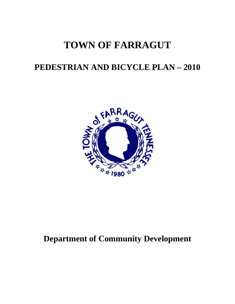# **TOWN OF FARRAGUT**

# **PEDESTRIAN AND BICYCLE PLAN - 2010**



# **Department of Community Development**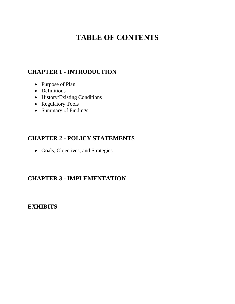## **TABLE OF CONTENTS**

## **CHAPTER 1 - INTRODUCTION**

- Purpose of Plan
- Definitions
- History/Existing Conditions
- Regulatory Tools
- Summary of Findings

## **CHAPTER 2 - POLICY STATEMENTS**

Goals, Objectives, and Strategies

## **CHAPTER 3 - IMPLEMENTATION**

## **EXHIBITS**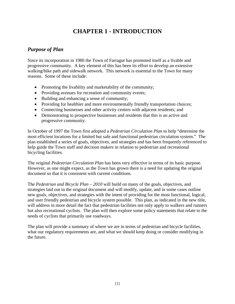## **CHAPTER 1 - INTRODUCTION**

### *Purpose of Plan*

Since its incorporation in 1980 the Town of Farragut has promoted itself as a livable and progressive community. A key element of this has been its effort to develop an extensive walking/bike path and sidewalk network. This network is essential to the Town for many reasons. Some of these include:

- Promoting the livability and marketability of the community;
- Providing avenues for recreation and community events;
- Building and enhancing a sense of community;
- Providing for healthier and more environmentally friendly transportation choices;
- Connecting businesses and other activity centers with adjacent residents; and
- Demonstrating to prospective businesses and residents that this is an active and progressive community.

In October of 1997 the Town first adopted a *Pedestrian Circulation Plan* to help "determine the most efficient locations for a limited but safe and functional pedestrian circulation system." The plan established a series of goals, objectives, and strategies and has been frequently referenced to help guide the Town staff and decision makers in relation to pedestrian and recreational bicycling facilities.

The original *Pedestrian Circulation Plan* has been very effective in terms of its basic purpose. However, as one might expect, as the Town has grown there is a need for updating the original document so that it is consistent with current conditions.

The *Pedestrian and Bicycle Plan – 2010* will build on many of the goals, objectives, and strategies laid out in the original document and will modify, update, and in some cases outline new goals, objectives, and strategies with the intent of providing for the most functional, logical, and user friendly pedestrian and bicycle system possible. This plan, as indicated in the new title, will address in more detail the fact that pedestrian facilities not only apply to walkers and runners but also recreational cyclists. The plan will then explore some policy statements that relate to the needs of cyclists that primarily use roadways.

The plan will provide a summary of where we are in terms of pedestrian and bicycle facilities, what our regulatory requirements are, and what we should keep doing or consider modifying in the future.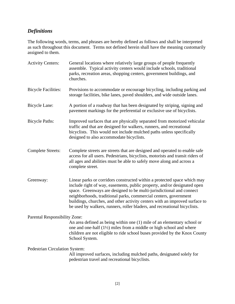## *Definitions*

The following words, terms, and phrases are hereby defined as follows and shall be interpreted as such throughout this document. Terms not defined herein shall have the meaning customarily assigned to them.

| <b>Activity Centers:</b>       | General locations where relatively large groups of people frequently<br>assemble. Typical activity centers would include schools, traditional<br>parks, recreation areas, shopping centers, government buildings, and<br>churches.                                                                                                                                                                                                                           |
|--------------------------------|--------------------------------------------------------------------------------------------------------------------------------------------------------------------------------------------------------------------------------------------------------------------------------------------------------------------------------------------------------------------------------------------------------------------------------------------------------------|
| <b>Bicycle Facilities:</b>     | Provisions to accommodate or encourage bicycling, including parking and<br>storage facilities, bike lanes, paved shoulders, and wide outside lanes.                                                                                                                                                                                                                                                                                                          |
| Bicycle Lane:                  | A portion of a roadway that has been designated by striping, signing and<br>pavement markings for the preferential or exclusive use of bicyclists.                                                                                                                                                                                                                                                                                                           |
| <b>Bicycle Paths:</b>          | Improved surfaces that are physically separated from motorized vehicular<br>traffic and that are designed for walkers, runners, and recreational<br>bicyclists. This would not include mulched paths unless specifically<br>designed to also accommodate bicyclists.                                                                                                                                                                                         |
| <b>Complete Streets:</b>       | Complete streets are streets that are designed and operated to enable safe<br>access for all users. Pedestrians, bicyclists, motorists and transit riders of<br>all ages and abilities must be able to safely move along and across a<br>complete street.                                                                                                                                                                                                    |
| Greenway:                      | Linear parks or corridors constructed within a protected space which may<br>include right of way, easements, public property, and/or designated open<br>space. Greenways are designed to be multi-jurisdictional and connect<br>neighborhoods, traditional parks, commercial centers, government<br>buildings, churches, and other activity centers with an improved surface to<br>be used by walkers, runners, roller bladers, and recreational bicyclists. |
| Parental Responsibility Zone:  | An area defined as being within one (1) mile of an elementary school or<br>one and one-half $(1\frac{1}{2})$ miles from a middle or high school and where<br>children are not eligible to ride school buses provided by the Knox County<br>School System.                                                                                                                                                                                                    |
| Pedestrian Circulation System: | All improved surfaces, including mulched paths, designated solely for<br>pedestrian travel and recreational bicyclists.                                                                                                                                                                                                                                                                                                                                      |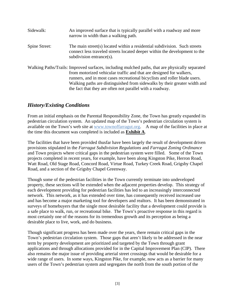| Sidewalk:     | An improved surface that is typically parallel with a roadway and more<br>narrow in width than a walking path.                                                                                                                                                                                                                                                                                 |
|---------------|------------------------------------------------------------------------------------------------------------------------------------------------------------------------------------------------------------------------------------------------------------------------------------------------------------------------------------------------------------------------------------------------|
| Spine Street: | The main street(s) located within a residential subdivision. Such streets<br>connect less traveled streets located deeper within the development to the<br>subdivision entrance $(s)$ .                                                                                                                                                                                                        |
|               | Walking Paths/Trails: Improved surfaces, including mulched paths, that are physically separated<br>from motorized vehicular traffic and that are designed for walkers,<br>runners, and in most cases recreational bicyclists and roller blade users.<br>Walking paths are distinguished from sidewalks by their greater width and<br>the fact that they are often not parallel with a roadway. |

#### *History/Existing Conditions*

From an initial emphasis on the Parental Responsibility Zone, the Town has greatly expanded its pedestrian circulation system. An updated map of the Town's pedestrian circulation system is available on the Town's web site at www.townoffarragut.org. A map of the facilities in place at the time this document was completed is included as **Exhibit A**.

The facilities that have been provided thusfar have been largely the result of development driven provisions stipulated in the *Farragut Subdivision Regulations* and *Farragut Zoning Ordinance* and Town projects where critical gaps in the pedestrian system were filled. Some of the Town projects completed in recent years, for example, have been along Kingston Pike, Herron Road, Watt Road, Old Stage Road, Concord Road, Virtue Road, Turkey Creek Road, Grigsby Chapel Road, and a section of the Grigsby Chapel Greenway.

Though some of the pedestrian facilities in the Town currently terminate into undeveloped property, these sections will be extended when the adjacent properties develop. This strategy of each development providing for pedestrian facilities has led to an increasingly interconnected network. This network, as it has extended over time, has consequently received increased use and has become a major marketing tool for developers and realtors. It has been demonstrated in surveys of homebuyers that the single most desirable facility that a development could provide is a safe place to walk, run, or recreational bike. The Town's proactive response in this regard is most certainly one of the reasons for its tremendous growth and its perception as being a desirable place to live, work, and do business.

Though significant progress has been made over the years, there remain critical gaps in the Town's pedestrian circulation system. Those gaps that aren't likely to be addressed in the near term by property development are prioritized and targeted by the Town through grant applications and through allocations provided for in the Capital Improvement Plan (CIP). There also remains the major issue of providing arterial street crossings that would be desirable for a wide range of users. In some ways, Kingston Pike, for example, now acts as a barrier for many users of the Town's pedestrian system and segregates the north from the south portion of the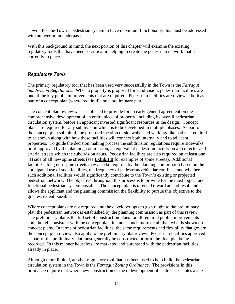Town. For the Town's pedestrian system to have maximum functionality this must be addressed with an over or an underpass.

With this background in mind, the next portion of this chapter will examine the existing regulatory tools that have been so critical in helping to create the pedestrian network that is currently in place.

#### *Regulatory Tools*

The primary regulatory tool that has been used very successfully in the Town is the *Farragut Subdivision Regulations*. When a property is proposed for subdivision, pedestrian facilities are one of the key public improvements that are required. Pedestrian facilities are reviewed both as part of a concept plan (where required) and a preliminary plat.

The concept plan review was established to provide for an early general agreement on the comprehensive development of an entire piece of property, including its overall pedestrian circulation system, before an applicant invested significant resources in the design. Concept plans are required for any subdivision which is to be developed in multiple phases. As part of the concept plan submittal, the proposed location of sidewalks and walking/bike paths is required to be shown along with how these facilities will connect both internally and to adjacent properties. To guide the decision making process the subdivision regulations require sidewalks or, if approved by the planning commission, an equivalent pedestrian facility on all collector and arterial streets which the subdivision abuts. Pedestrian facilities are also required on at least one (1) side of all new spine streets (see **Exhibit B** for examples of spine streets). Additional facilities along non-spine streets may also be required by the planning commission based on the anticipated use of such facilities, the frequency of pedestrian/vehicular conflicts, and whether such additional facilities would significantly contribute to the Town's existing or projected pedestrian network. The objective throughout this process is to provide for the most logical and functional pedestrian system possible. The concept plan is targeted toward an end result and allows the applicant and the planning commission the flexibility to pursue this objective to the greatest extent possible.

Where concept plans are not required and the developer opts to go straight to the preliminary plat, the pedestrian network is established by the planning commission as part of this review. The preliminary plat is the full set of construction plans for all required public improvements and, though consistent with the concept plan, includes much more detail than what is shown on concept plans. In terms of pedestrian facilities, the same requirements and flexibility that govern the concept plan review also apply to the preliminary plat review. Pedestrian facilities approved as part of the preliminary plat must generally be constructed prior to the final plat being recorded. In this manner houselots are marketed and purchased with the pedestrian facilities already in place.

Although more limited, another regulatory tool that has been used to help build the pedestrian circulation system in the Town is the *Farragut Zoning Ordinance*. The provisions in this ordinance require that where new construction or the redevelopment of a site necessitates a site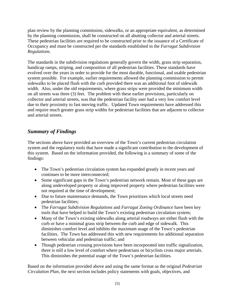plan review by the planning commission, sidewalks, or an appropriate equivalent, as determined by the planning commission, shall be constructed on all abutting collector and arterial streets. These pedestrian facilities are required to be constructed prior to the issuance of a Certificate of Occupancy and must be constructed per the standards established in the *Farragut Subdivision Regulations.*

The standards in the subdivision regulations generally govern the width, grass strip separation, handicap ramps, striping, and composition of all pedestrian facilities. These standards have evolved over the years in order to provide for the most durable, functional, and usable pedestrian system possible. For example, earlier requirements allowed the planning commission to permit sidewalks to be placed flush with the curb provided there was an additional foot of sidewalk width. Also, under the old requirements, where grass strips were provided the minimum width on all streets was three (3) feet. The problem with these earlier provisions, particularly on collector and arterial streets, was that the pedestrian facility user had a very low comfort level due to their proximity to fast moving traffic. Updated Town requirements have addressed this and require much greater grass strip widths for pedestrian facilities that are adjacent to collector and arterial streets.

## *Summary of Findings*

The sections above have provided an overview of the Town's current pedestrian circulation system and the regulatory tools that have made a significant contribution to the development of this system. Based on the information provided, the following is a summary of some of the findings:

- The Town's pedestrian circulation system has expanded greatly in recent years and continues to be more interconnected;
- Some significant gaps in the Town's pedestrian network remain. Most of these gaps are along undeveloped property or along improved property where pedestrian facilities were not required at the time of development;
- Due to future maintenance demands, the Town prioritizes which local streets need pedestrian facilities;
- The *Farragut Subdivision Regulations* and *Farragut Zoning Ordinance* have been key tools that have helped to build the Town's existing pedestrian circulation system;
- Many of the Town's existing sidewalks along arterial roadways are either flush with the curb or have a minimal grass strip between the curb and edge of sidewalk. This diminishes comfort level and inhibits the maximum usage of the Town's pedestrian facilities. The Town has addressed this with new requirements for additional separation between vehicular and pedestrian traffic; and
- Though pedestrian crossing provisions have been incorporated into traffic signalization, there is still a low level of comfort where pedestrians or bicyclists cross major arterials. This diminishes the potential usage of the Town's pedestrian facilities.

Based on the information provided above and using the same format as the original *Pedestrian Circulation Plan*, the next section includes policy statements with goals, objectives, and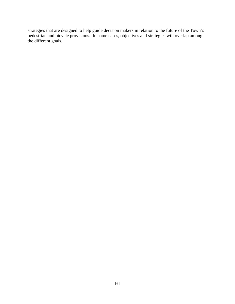strategies that are designed to help guide decision makers in relation to the future of the Town's pedestrian and bicycle provisions. In some cases, objectives and strategies will overlap among the different goals.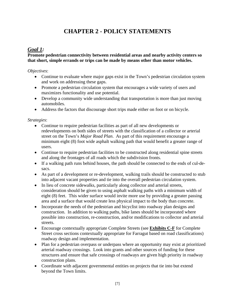## **CHAPTER 2 - POLICY STATEMENTS**

#### *Goal 1:*

#### **Promote pedestrian connectivity between residential areas and nearby activity centers so that short, simple errands or trips can be made by means other than motor vehicles.**

#### *Objectives*:

- Continue to evaluate where major gaps exist in the Town's pedestrian circulation system and work on addressing these gaps.
- Promote a pedestrian circulation system that encourages a wide variety of users and maximizes functionality and use potential.
- Develop a community wide understanding that transportation is more than just moving automobiles.
- Address the factors that discourage short trips made either on foot or on bicycle.

#### *Strategies*:

- Continue to require pedestrian facilities as part of all new developments or redevelopments on both sides of streets with the classification of a collector or arterial street on the Town's *Major Road Plan*. As part of this requirement encourage a minimum eight (8) foot wide asphalt walking path that would benefit a greater range of users.
- Continue to require pedestrian facilities to be constructed along residential spine streets and along the frontages of all roads which the subdivision fronts.
- If a walking path runs behind houses, the path should be connected to the ends of cul-desacs.
- As part of a development or re-development, walking trails should be constructed to stub into adjacent vacant properties and tie into the overall pedestrian circulation system.
- In lieu of concrete sidewalks, particularly along collector and arterial streets, consideration should be given to using asphalt walking paths with a minimum width of eight (8) feet. This wider surface would invite more use by providing a greater passing area and a surface that would create less physical impact to the body than concrete.
- Incorporate the needs of the pedestrian and bicyclist into roadway plan designs and construction. In addition to walking paths, bike lanes should be incorporated where possible into construction, re-construction, and/or modifications to collector and arterial streets.
- Encourage contextually appropriate Complete Streets (see **Exhibits C-F** for Complete Street cross sections contextually appropriate for Farragut based on road classifications) roadway design and implementation.
- Plan for a pedestrian overpass or underpass where an opportunity may exist at prioritized arterial roadway crossings. Look into grants and other sources of funding for these structures and ensure that safe crossings of roadways are given high priority in roadway construction plans.
- Coordinate with adjacent governmental entities on projects that tie into but extend beyond the Town limits.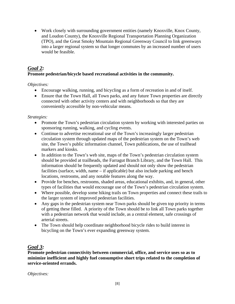Work closely with surrounding government entities (namely Knoxville, Knox County, and Loudon County), the Knoxville Regional Transportation Planning Organization (TPO), and the Great Smoky Mountain Regional Greenway Council to link greenways into a larger regional system so that longer commutes by an increased number of users would be feasible.

### *Goal 2:*

#### **Promote pedestrian/bicycle based recreational activities in the community.**

*Objectives:* 

- Encourage walking, running, and bicycling as a form of recreation in and of itself.
- Ensure that the Town Hall, all Town parks, and any future Town properties are directly connected with other activity centers and with neighborhoods so that they are conveniently accessible by non-vehicular means.

*Strategies:* 

- Promote the Town's pedestrian circulation system by working with interested parties on sponsoring running, walking, and cycling events.
- Continue to advertise recreational use of the Town's increasingly larger pedestrian circulation system through updated maps of the pedestrian system on the Town's web site, the Town's public information channel, Town publications, the use of trailhead markers and kiosks.
- In addition to the Town's web site, maps of the Town's pedestrian circulation system should be provided at trailheads, the Farragut Branch Library, and the Town Hall. This information should be frequently updated and should not only show the pedestrian facilities (surface, width, name – if applicable) but also include parking and bench locations, restrooms, and any notable features along the way.
- Provide for benches, restrooms, shaded areas, educational exhibits, and, in general, other types of facilities that would encourage use of the Town's pedestrian circulation system.
- Where possible, develop some hiking trails on Town properties and connect these trails to the larger system of improved pedestrian facilities.
- Any gaps in the pedestrian system near Town parks should be given top priority in terms of getting these filled. A priority of the Town should be to link all Town parks together with a pedestrian network that would include, as a central element, safe crossings of arterial streets.
- The Town should help coordinate neighborhood bicycle rides to build interest in bicycling on the Town's ever expanding greenway system.

### *Goal 3:*

**Promote pedestrian connectivity between commercial, office, and service uses so as to minimize inefficient and highly fuel consumptive short trips related to the completion of service-oriented errands.** 

*Objectives:*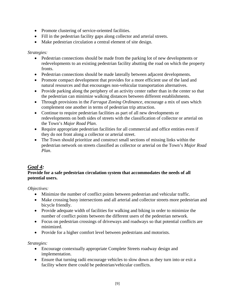- Promote clustering of service-oriented facilities.
- Fill in the pedestrian facility gaps along collector and arterial streets.
- Make pedestrian circulation a central element of site design.

#### *Strategies:*

- Pedestrian connections should be made from the parking lot of new developments or redevelopments to an existing pedestrian facility abutting the road on which the property fronts.
- Pedestrian connections should be made laterally between adjacent developments.
- Promote compact development that provides for a more efficient use of the land and natural resources and that encourages non-vehicular transportation alternatives.
- Provide parking along the periphery of an activity center rather than in the center so that the pedestrian can minimize walking distances between different establishments.
- Through provisions in the *Farragut Zoning Ordinance*, encourage a mix of uses which complement one another in terms of pedestrian trip attraction.
- Continue to require pedestrian facilities as part of all new developments or redevelopments on both sides of streets with the classification of collector or arterial on the Town's *Major Road Plan*.
- Require appropriate pedestrian facilities for all commercial and office entities even if they do not front along a collector or arterial street.
- The Town should prioritize and construct small sections of missing links within the pedestrian network on streets classified as collector or arterial on the Town's *Major Road Plan*.

#### *Goal 4:*

#### **Provide for a safe pedestrian circulation system that accommodates the needs of all potential users.**

*Objectives:* 

- Minimize the number of conflict points between pedestrian and vehicular traffic.
- Make crossing busy intersections and all arterial and collector streets more pedestrian and bicycle friendly.
- Provide adequate width of facilities for walking and biking in order to minimize the number of conflict points between the different users of the pedestrian network.
- Focus on pedestrian crossings of driveways and roadways so that potential conflicts are minimized.
- Provide for a higher comfort level between pedestrians and motorists.

#### *Strategies:*

- Encourage contextually appropriate Complete Streets roadway design and implementation.
- Ensure that turning radii encourage vehicles to slow down as they turn into or exit a facility where there could be pedestrian/vehicular conflicts.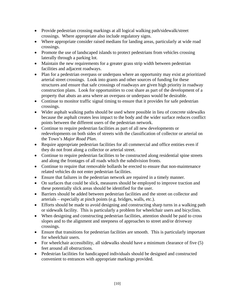- Provide pedestrian crossing markings at all logical walking path/sidewalk/street crossings. Where appropriate also include regulatory signs.
- Where appropriate consider raised medians for landing areas, particularly at wide road crossings.
- Promote the use of landscaped islands to protect pedestrians from vehicles crossing laterally through a parking lot.
- Maintain the new requirements for a greater grass strip width between pedestrian facilities and adjacent roadways.
- Plan for a pedestrian overpass or underpass where an opportunity may exist at prioritized arterial street crossings. Look into grants and other sources of funding for these structures and ensure that safe crossings of roadways are given high priority in roadway construction plans. Look for opportunities to cost share as part of the development of a property that abuts an area where an overpass or underpass would be desirable.
- Continue to monitor traffic signal timing to ensure that it provides for safe pedestrian crossings.
- Wider asphalt walking paths should be used where possible in lieu of concrete sidewalks because the asphalt creates less impact to the body and the wider surface reduces conflict points between the different users of the pedestrian network.
- Continue to require pedestrian facilities as part of all new developments or redevelopments on both sides of streets with the classification of collector or arterial on the Town's *Major Road Plan*.
- Require appropriate pedestrian facilities for all commercial and office entities even if they do not front along a collector or arterial street.
- Continue to require pedestrian facilities to be constructed along residential spine streets and along the frontages of all roads which the subdivision fronts.
- Continue to require that removable bollards be erected to ensure that non-maintenance related vehicles do not enter pedestrian facilities.
- Ensure that failures in the pedestrian network are repaired in a timely manner.
- On surfaces that could be slick, measures should be employed to improve traction and these potentially slick areas should be identified for the user.
- Barriers should be added between pedestrian facilities and the street on collector and arterials – especially at pinch points (e.g. bridges, walls, etc.).
- Efforts should be made to avoid designing and constructing sharp turns in a walking path or sidewalk facility. This is particularly a problem for wheelchair users and bicyclists.
- When designing and constructing pedestrian facilities, attention should be paid to cross slopes and to the alignment and steepness of approaches to street and/or driveway crossings.
- Ensure that transitions for pedestrian facilities are smooth. This is particularly important for wheelchair users.
- For wheelchair accessibility, all sidewalks should have a minimum clearance of five  $(5)$ feet around all obstructions.
- Pedestrian facilities for handicapped individuals should be designed and constructed convenient to entrances with appropriate markings provided.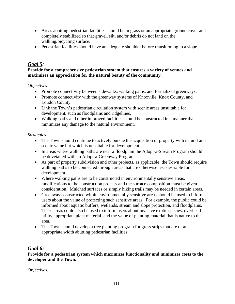- Areas abutting pedestrian facilities should be in grass or an appropriate ground cover and completely stabilized so that gravel, silt, and/or debris do not land on the walking/bicycling surface.
- Pedestrian facilities should have an adequate shoulder before transitioning to a slope.

#### *Goal 5:*

#### **Provide for a comprehensive pedestrian system that ensures a variety of venues and maximizes an appreciation for the natural beauty of the community.**

*Objectives:* 

- Promote connectivity between sidewalks, walking paths, and formalized greenways.
- Promote connectivity with the greenway systems of Knoxville, Knox County, and Loudon County.
- Link the Town's pedestrian circulation system with scenic areas unsuitable for development, such as floodplains and ridgelines.
- Walking paths and other improved facilities should be constructed in a manner that minimizes any damage to the natural environment.

#### *Strategies:*

- The Town should continue to actively pursue the acquisition of property with natural and scenic value but which is unsuitable for development.
- In areas where walking paths are near a floodplain the Adopt-a-Stream Program should be dovetailed with an Adopt-a-Greenway Program.
- As part of property subdivision and other projects, as applicable, the Town should require walking paths to be connected through areas that are otherwise less desirable for development.
- Where walking paths are to be constructed in environmentally sensitive areas, modifications to the construction process and the surface composition must be given consideration. Mulched surfaces or simply hiking trails may be needed in certain areas.
- Greenways constructed within environmentally sensitive areas should be used to inform users about the value of protecting such sensitive areas. For example, the public could be informed about aquatic buffers, wetlands, stream and slope protection, and floodplains. These areas could also be used to inform users about invasive exotic species, overhead utility appropriate plant material, and the value of planting material that is native to the area.
- The Town should develop a tree planting program for grass strips that are of an appropriate width abutting pedestrian facilities.

#### *Goal 6:*

**Provide for a pedestrian system which maximizes functionality and minimizes costs to the developer and the Town.** 

*Objectives:*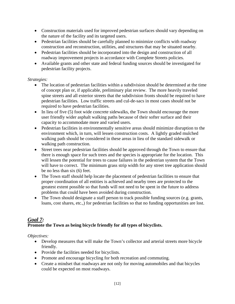- Construction materials used for improved pedestrian surfaces should vary depending on the nature of the facility and its targeted users.
- Pedestrian facilities should be carefully planned to minimize conflicts with roadway construction and reconstruction, utilities, and structures that may be situated nearby.
- Pedestrian facilities should be incorporated into the design and construction of all roadway improvement projects in accordance with Complete Streets policies.
- Available grants and other state and federal funding sources should be investigated for pedestrian facility projects.

#### *Strategies:*

- The location of pedestrian facilities within a subdivision should be determined at the time of concept plan or, if applicable, preliminary plat review. The more heavily traveled spine streets and all exterior streets that the subdivision fronts should be required to have pedestrian facilities. Low traffic streets and cul-de-sacs in most cases should not be required to have pedestrian facilities.
- In lieu of five (5) foot wide concrete sidewalks, the Town should encourage the more user friendly wider asphalt walking paths because of their softer surface and their capacity to accommodate more and varied users.
- Pedestrian facilities in environmentally sensitive areas should minimize disruption to the environment which, in turn, will lessen construction costs. A lightly graded mulched walking path should be considered in these areas in lieu of the standard sidewalk or walking path construction.
- Street trees near pedestrian facilities should be approved through the Town to ensure that there is enough space for such trees and the species is appropriate for the location. This will lessen the potential for trees to cause failures in the pedestrian system that the Town will have to correct. The minimum grass strip width for any street tree application should be no less than six (6) feet.
- The Town staff should help locate the placement of pedestrian facilities to ensure that proper coordination of all entities is achieved and nearby trees are protected to the greatest extent possible so that funds will not need to be spent in the future to address problems that could have been avoided during construction.
- The Town should designate a staff person to track possible funding sources (e.g. grants, loans, cost shares, etc.,) for pedestrian facilities so that no funding opportunities are lost.

## *Goal 7:*

#### **Promote the Town as being bicycle friendly for all types of bicyclists.**

*Objectives:* 

- Develop measures that will make the Town's collector and arterial streets more bicycle friendly.
- Provide the facilities needed for bicyclists.
- Promote and encourage bicycling for both recreation and commuting.
- Create a mindset that roadways are not only for moving automobiles and that bicycles could be expected on most roadways.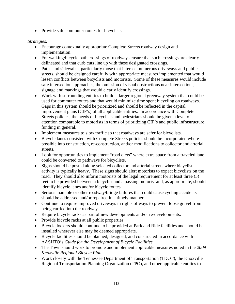• Provide safe commuter routes for bicyclists.

#### *Strategies:*

- Encourage contextually appropriate Complete Streets roadway design and implementation.
- For walking/bicycle path crossings of roadways ensure that such crossings are clearly delineated and that curb cuts line up with these designated crossings.
- Paths and sidewalks, particularly those that intersect numerous driveways and public streets, should be designed carefully with appropriate measures implemented that would lessen conflicts between bicyclists and motorists. Some of these measures would include safe intersection approaches, the omission of visual obstructions near intersections, signage and markings that would clearly identify crossings.
- Work with surrounding entities to build a larger regional greenway system that could be used for commuter routes and that would minimize time spent bicycling on roadways. Gaps in this system should be prioritized and should be reflected in the capital improvement plans (CIP's) of all applicable entities. In accordance with Complete Streets policies, the needs of bicyclists and pedestrians should be given a level of attention comparable to motorists in terms of prioritizing CIP's and public infrastructure funding in general.
- Implement measures to slow traffic so that roadways are safer for bicyclists.
- Bicycle lanes consistent with Complete Streets policies should be incorporated where possible into construction, re-construction, and/or modifications to collector and arterial streets.
- Look for opportunities to implement "road diets" where extra space from a traveled lane could be converted to pathways for bicyclists.
- Signs should be posted along selected collector and arterial streets where bicyclist activity is typically heavy. These signs should alert motorists to expect bicyclists on the road. They should also inform motorists of the legal requirement for at least three (3) feet to be provided between a bicyclist and a passing motorist and, as appropriate, should identify bicycle lanes and/or bicycle routes.
- Serious manhole or other roadway/bridge failures that could cause cycling accidents should be addressed and/or repaired in a timely manner.
- Continue to require improved driveways in rights of ways to prevent loose gravel from being carried into the roadway.
- Require bicycle racks as part of new developments and/or re-developments.
- Provide bicycle racks at all public properties.
- Bicycle lockers should continue to be provided at Park and Ride facilities and should be installed wherever else may be deemed appropriate.
- Bicycle facilities should be planned, designed, and constructed in accordance with AASHTO's *Guide for the Development of Bicycle Facilities.*
- The Town should work to promote and implement applicable measures noted in the *2009 Knoxville Regional Bicycle Plan*.
- Work closely with the Tennessee Department of Transportation (TDOT), the Knoxville Regional Transportation Planning Organization (TPO), and other applicable entities to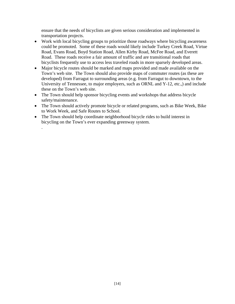ensure that the needs of bicyclists are given serious consideration and implemented in transportation projects.

- Work with local bicycling groups to prioritize those roadways where bicycling awareness could be promoted. Some of these roads would likely include Turkey Creek Road, Virtue Road, Evans Road, Boyd Station Road, Allen Kirby Road, McFee Road, and Everett Road. These roads receive a fair amount of traffic and are transitional roads that bicyclists frequently use to access less traveled roads in more sparsely developed areas.
- Major bicycle routes should be marked and maps provided and made available on the Town's web site. The Town should also provide maps of commuter routes (as these are developed) from Farragut to surrounding areas (e.g. from Farragut to downtown, to the University of Tennessee, to major employers, such as ORNL and Y-12, etc.,) and include these on the Town's web site.
- The Town should help sponsor bicycling events and workshops that address bicycle safety/maintenance.
- The Town should actively promote bicycle or related programs, such as Bike Week, Bike to Work Week, and Safe Routes to School.
- The Town should help coordinate neighborhood bicycle rides to build interest in bicycling on the Town's ever expanding greenway system.

.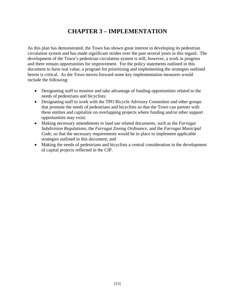## **CHAPTER 3 – IMPLEMENTATION**

As this plan has demonstrated, the Town has shown great interest in developing its pedestrian circulation system and has made significant strides over the past several years in this regard. The development of the Town's pedestrian circulation system is still, however, a work in progress and there remain opportunities for improvement. For the policy statements outlined in this document to have real value, a program for prioritizing and implementing the strategies outlined herein is critical. As the Town moves forward some key implementation measures would include the following:

- Designating staff to monitor and take advantage of funding opportunities related to the needs of pedestrians and bicyclists;
- Designating staff to work with the TPO Bicycle Advisory Committee and other groups that promote the needs of pedestrians and bicyclists so that the Town can partner with these entities and capitalize on overlapping projects where funding and/or other support opportunities may exist;
- Making necessary amendments to land use related documents, such as the *Farragut Subdivision Regulations*, the *Farragut Zoning Ordinance*, and the *Farragut Municipal Code*, so that the necessary requirements would be in place to implement applicable strategies outlined in this document; and
- Making the needs of pedestrians and bicyclists a central consideration in the development of capital projects reflected in the CIP.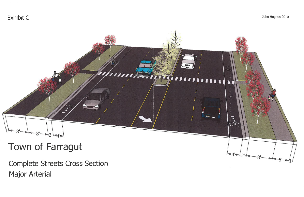Exhibit C



**Complete Streets Cross Section Major Arterial** 

## John Hughes 2010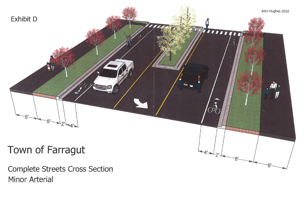

**Complete Streets Cross Section Minor Arterial**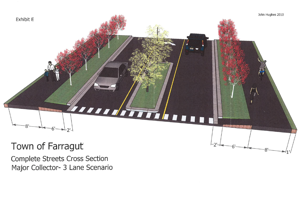

**Complete Streets Cross Section** Major Collector- 3 Lane Scenario